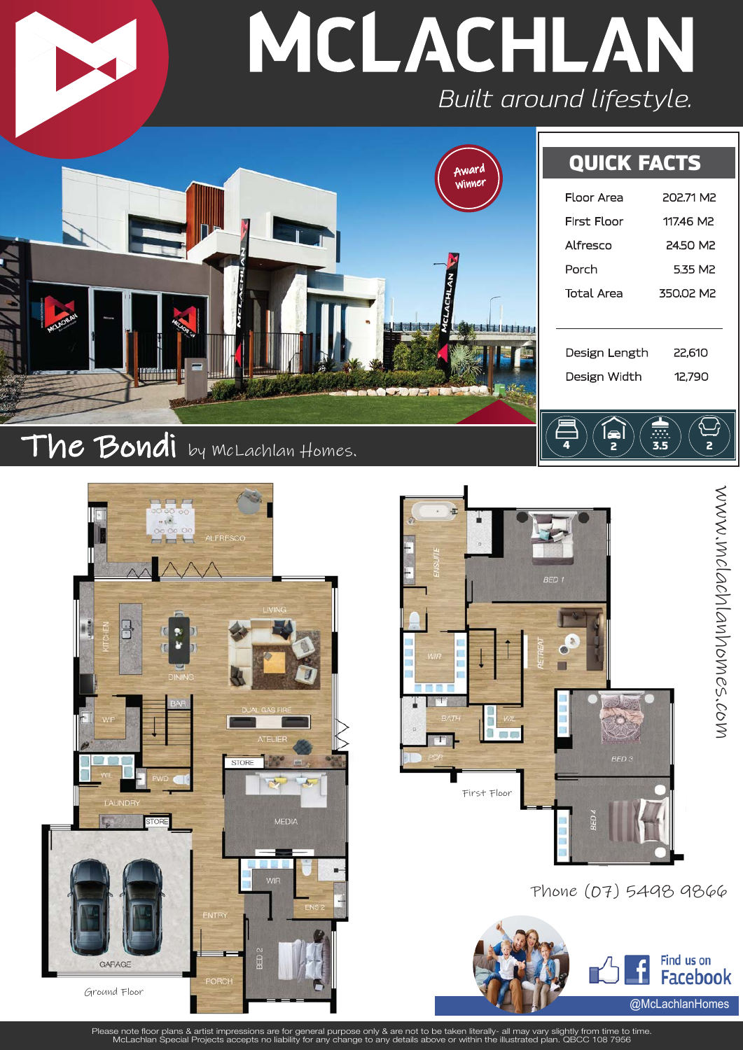





**the latitudes** 

**district and** 

Phone (07) 5498 9866

Design Length 22,610 Design Width 12,790

4  $\left/\right\langle$  2  $\left/\right\langle$  3.5  $\right/\left\langle$  2

e



Please note floor plans & artist impressions are for general purpose only & are not to be taken literally- all may vary slightly from time to time.<br>McLachlan Special Projects accepts no liability for any change to any deta